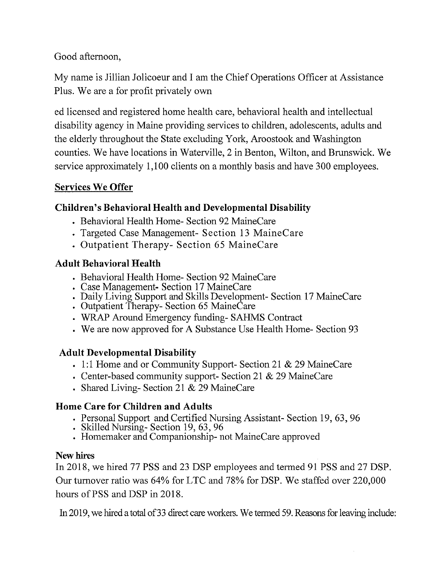Good afternoon,

My name is Jillian Jolicoeur and I am the Chief Operations Officer at Assistance Plus. We are a for profit privately own

ed licensed and registered home health care, behavioral health and intellectual disability agency in Maine providing services to children, adolescents, adults and the elderly throughout the State excluding York, Aroostook and Washington counties. We have locations in Waterville, 2 in Benton, Wilton, and Brunswick. We service approximately 1,100 clients on a monthly basis and have 300 employees.

#### **Services We Offer**

## **Children's Behavioral Health and Developmental Disability**

- Behavioral Health Home- Section 92 MaineCare
- Targeted Case Management- Section 13 MaineCare
- Outpatient Therapy- Section 65 MaineCare

## **Adult Behavioral Health**

- Behavioral Health Home- Section 92 MaineCare
- Case Management- Section 17 MaineCare
- Daily Living Support and Skills Development- Section 17 MaineCare
- Outpatient Therapy- Section 65 MaineCare
- WRAP Around Emergency funding- SAHMS Contract
- We are now approved for A Substance Use Health Home- Section 93

#### **Adult Developmental Disability**

- 1:1 Home and or Community Support- Section 21 & 29 MaineCare
- Center-based community support- Section 21 & 29 MaineCare
- Shared Living-Section 21 & 29 MaineCare

#### **Home Care for Children and Adults**

- Personal Support and Certified Nursing Assistant- Section 19, 63, 96
- Skilled Nursing- Section 19, 63, 96
- Homemaker and Companionship- not MaineCare approved

#### **New hires**

In 2018, we hired 77 PSS and 23 DSP employees and termed 91 PSS and 27 DSP. Our turnover ratio was 64% for LTC and 78% for DSP. We staffed over 220,000 hours of PSS and DSP in 2018.

In 2019, we hired a total of 33 direct care workers. We termed 59. Reasons for leaving include: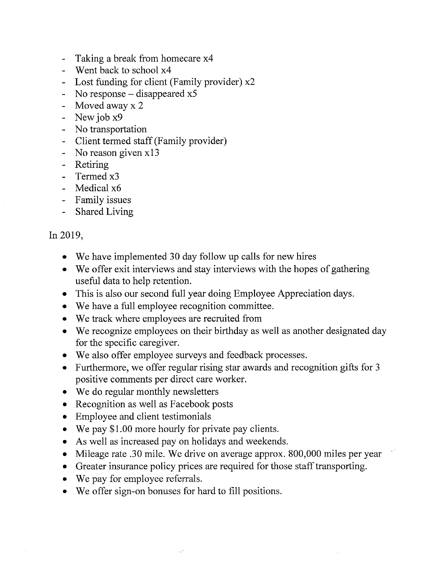- Taking a break from homecare x4
- Went back to school x4
- Lost funding for client (Family provider) x2
- No response  $-$  disappeared  $x5$
- Moved away x 2
- New job x9
- No transportation
- Client termed staff (Family provider)
- No reason given x13
- Retiring
- Termed x3
- Medical x6
- Family issues
- Shared Living

#### In 2019,

- We have implemented 30 day follow up calls for new hires
- We offer exit interviews and stay interviews with the hopes of gathering useful data to help retention.
- This is also our second full year doing Employee Appreciation days.
- We have a full employee recognition committee.
- We track where employees are recruited from
- We recognize employees on their birthday as well as another designated day for the specific caregiver.
- We also offer employee surveys and feedback processes.
- Furthermore, we offer regular rising star awards and recognition gifts for 3 positive comments per direct care worker.
- We do regular monthly newsletters
- Recognition as well as Facebook posts
- Employee and client testimonials
- We pay \$1.00 more hourly for private pay clients.
- As well as increased pay on holidays and weekends.
- Mileage rate .30 mile. We drive on average approx. 800,000 miles per year
- Greater insurance policy prices are required for those staff transporting.
- We pay for employee referrals.
- We offer sign-on bonuses for hard to fill positions.

A.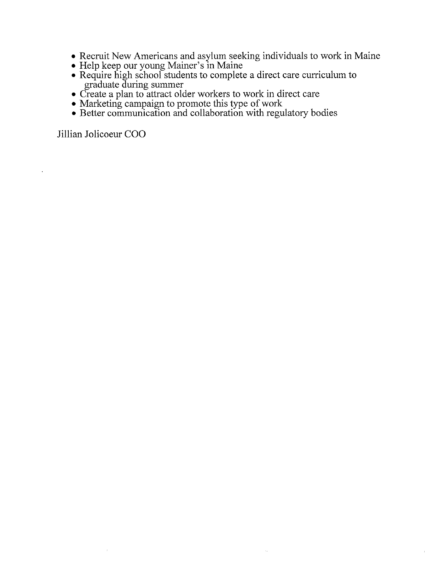• Recruit New Americans and asylum seeking individuals to work in Maine

 $\mathcal{L}_{\mathcal{A}}$ 

- Help keep our young Mainer's in Maine
- Require high school students to complete a direct care curriculum to graduate during summer
- Create a plan to attract older workers to work in direct care
- Marketing campaign to promote this type of work
- Better communication and collaboration with regulatory bodies

Jillian Jolicoeur COO

 $\bar{\bar{z}}$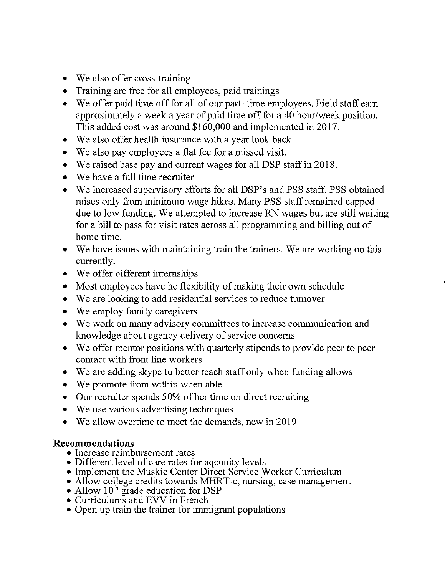- We also offer cross-training
- Training are free for all employees, paid trainings
- We offer paid time off for all of our part- time employees. Field staff earn approximately a week a year of paid time off for a 40 hour/week position. This added cost was around \$160,000 and implemented in 2017.
- We also offer health insurance with a year look back
- We also pay employees a flat fee for a missed visit.
- We raised base pay and current wages for all DSP staff in 2018.
- We have a full time recruiter
- We increased supervisory efforts for all DSP's and PSS staff. PSS obtained raises only from minimum wage hikes. Many PSS staff remained capped due to low funding. We attempted to increase RN wages but are still waiting for a bill to pass for visit rates across all programming and billing out of home time.
- We have issues with maintaining train the trainers. We are working on this currently.
- We offer different internships
- Most employees have he flexibility of making their own schedule
- We are looking to add residential services to reduce turnover
- We employ family caregivers
- We work on many advisory committees to increase communication and knowledge about agency delivery of service concerns
- We offer mentor positions with quarterly stipends to provide peer to peer contact with front line workers
- We are adding skype to better reach staff only when funding allows
- We promote from within when able
- Our recruiter spends 50% of her time on direct recruiting
- We use various advertising techniques
- We allow overtime to meet the demands, new in 2019

#### **Recommendations**

- Increase reimbursement rates
- Different level of care rates for aqcuuity levels
- Implement the Muskie Center Direct Service Worker Curriculum
- Allow college credits towards MHRT-c, nursing, case management
- Allow  $10^{th}$  grade education for DSP
- Curriculums and EVV in French
- Open up train the trainer for immigrant populations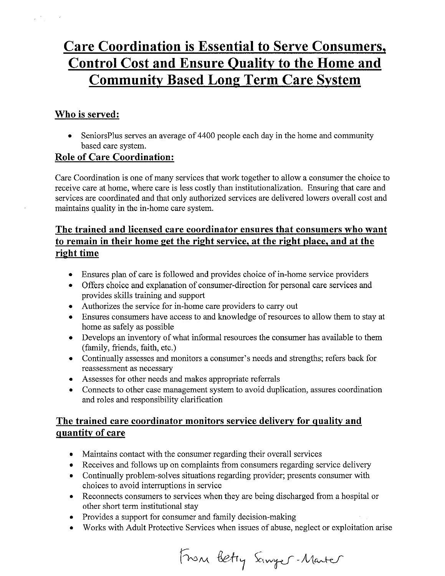## **Care Coordination is Essential to Serve Consumers, Control Cost and Ensure Quality to the Home and Community Based Long Term Care System**

#### **Who is served:**

• SeniorsPlus serves an average of 4400 people each day in the home and community based care system.

#### **Role of Care Coordination:**

Care Coordination is one of many services that work together to allow a consumer the choice to receive care at home, where care is less costly than institutionalization. Ensuring that care and services are coordinated and that only authorized services are delivered lowers overall cost and maintains quality in the in-home care system.

#### **The trained and licensed care coordinator ensures that consumers who want to remain in their home get the right service, at the right place, and at the right time**

- Ensures plan of care is followed and provides choice of in-home service providers
- Offers choice and explanation of consumer-direction for personal care services and provides skills training and support
- Authorizes the service for in-home care providers to carry out
- Ensures consumers have access to and knowledge of resources to allow them to stay at home as safely as possible
- Develops an inventory of what informal resources the consumer has available to them (family, friends, faith, etc.)
- Continually assesses and monitors a consumer's needs and strengths; refers back for reassessment as necessary
- Assesses for other needs and makes appropriate referrals
- Connects to other case management system to avoid duplication, assures coordination and roles and responsibility clarification

#### **The trained care coordinator monitors service delivery for quality and quantity of care**

- Maintains contact with the consumer regarding their overall services
- Receives and follows up on complaints from consumers regarding service delivery
- Continually problem-solves situations regarding provider; presents consumer with choices to avoid interruptions in service
- Reconnects consumers to services when they are being discharged from a hospital or other short term institutional stay
- Provides a support for consumer and family decision-making
- Works with Adult Protective Services when issues of abuse, neglect or exploitation arise

From Betty Sanger-Marter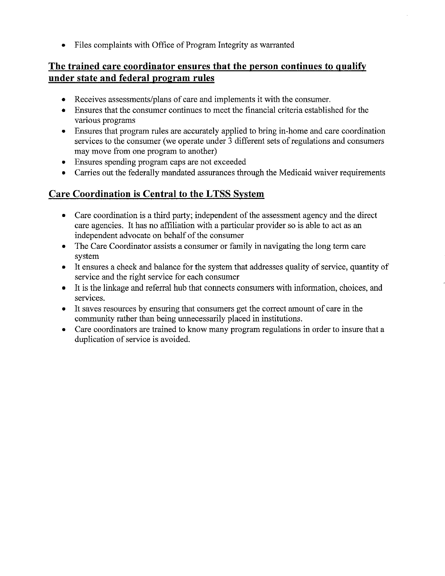• Files complaints with Office of Program Integrity as warranted

#### **The trained care coordinator ensures that the person continues to qualify under state and federal program rules**

- Receives assessments/plans of care and implements it with the consumer.
- Ensures that the consumer continues to meet the financial criteria established for the various programs
- Ensures that program rules are accurately applied to bring in-home and care coordination services to the consumer (we operate under 3 different sets of regulations and consumers may move from one program to another)
- Ensures spending program caps are not exceeded
- Carries out the federally mandated assurances through the Medicaid waiver requirements

#### **Care Coordination is Central to the L TSS System**

- Care coordination is a third party; independent of the assessment agency and the direct care agencies. It has no affiliation with a particular provider so is able to act as an independent advocate on behalf of the consumer
- The Care Coordinator assists a consumer or family in navigating the long term care system
- It ensures a check and balance for the system that addresses quality of service, quantity of service and the right service for each consumer
- It is the linkage and referral hub that connects consumers with information, choices, and services.
- It saves resources by ensuring that consumers get the correct amount of care in the community rather than being unnecessarily placed in institutions.
- Care coordinators are trained to know many program regulations in order to insure that a duplication of service is avoided.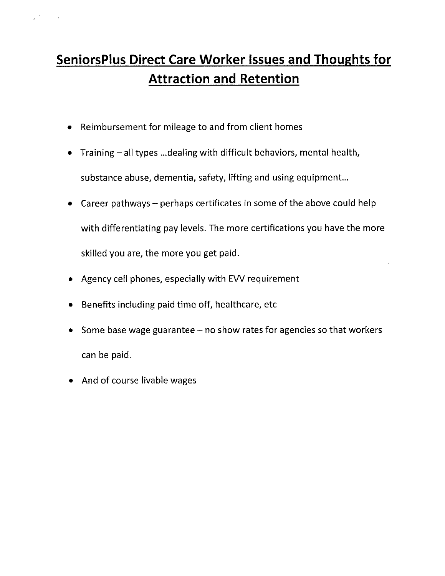# **SeniorsPlus Direct Care Worker Issues and Thoughts for Attraction and Retention**

- Reimbursement for mileage to and from client homes
- Training- all types ... dealing with difficult behaviors, mental health, substance abuse, dementia, safety, lifting and using equipment...
- Career pathways  $-$  perhaps certificates in some of the above could help with differentiating pay levels. The more certifications you have the more skilled you are, the more you get paid.
- Agency cell phones, especially with EVV requirement
- Benefits including paid time off, healthcare, etc
- Some base wage guarantee no show rates for agencies so that workers can be paid.
- And of course livable wages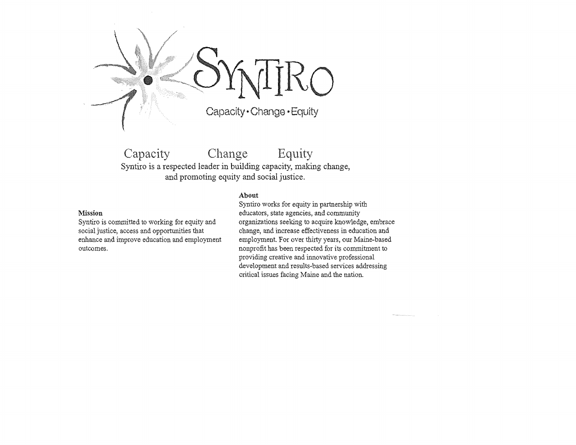

Capacity Change Equity Syntiro is a respected leader in building capacity, making change, and promoting equity and social justice.

#### **About**

#### **Mission**

Syntiro is committed to working for equity and social justice, access and opportunities that enhance and improve education and employment outcomes.

Syntiro works for equity in partnership with educators, state agencies, and community organizations seeking to acquire knowledge, embrace change, and increase effectiveness in education and employment. For over thirty years, our Maine-based nonprofit has been respected for its commitment to providing creative and innovative professional development and results-based services addressing critical issues facing Maine and the nation.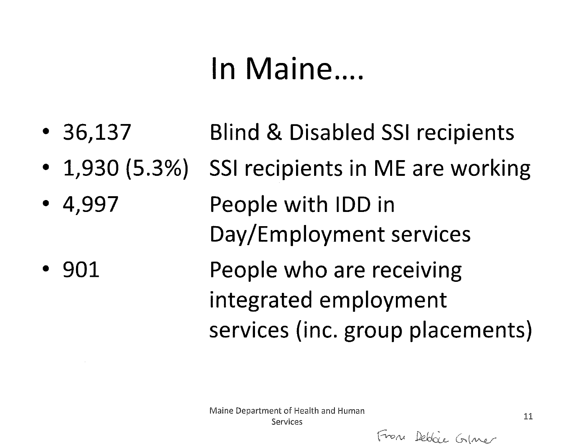# In Maine....

- 36,137 Blind & Disabled SSI recipients
- $\cdot$  1,930 (5.3%) SSI recipients in ME are working
- 4,997 People with IDD in Day/Employment services
- 901 People who are receiving integrated employment services (inc. group placements)

From Debbie Gime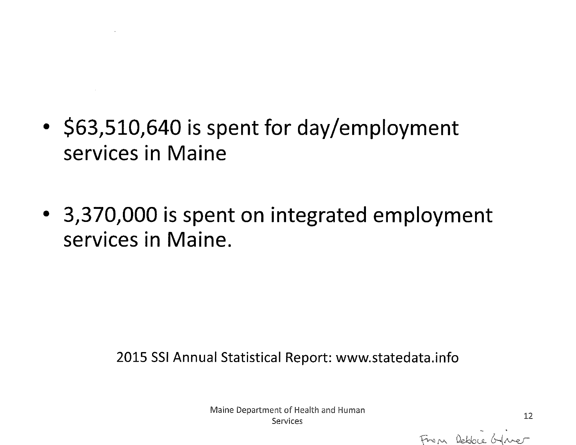- **\$63,510,640 is spent for day/employment services in Maine**
- **3,370,000 is spent on integrated employment services in Maine.**

2015 SSI Annual Statistical Report: www.statedata.info

Maine Department of Health and Human Services 12<br>Services 12

From Rebbee Gaver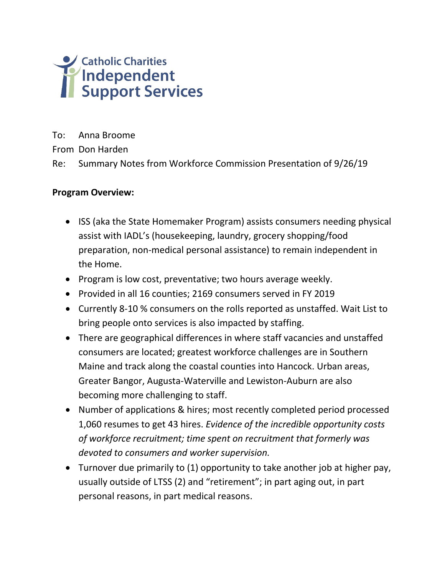

To: Anna Broome

From Don Harden

Re: Summary Notes from Workforce Commission Presentation of 9/26/19

#### **Program Overview:**

- ISS (aka the State Homemaker Program) assists consumers needing physical assist with IADL's (housekeeping, laundry, grocery shopping/food preparation, non-medical personal assistance) to remain independent in the Home.
- Program is low cost, preventative; two hours average weekly.
- Provided in all 16 counties; 2169 consumers served in FY 2019
- Currently 8-10 % consumers on the rolls reported as unstaffed. Wait List to bring people onto services is also impacted by staffing.
- There are geographical differences in where staff vacancies and unstaffed consumers are located; greatest workforce challenges are in Southern Maine and track along the coastal counties into Hancock. Urban areas, Greater Bangor, Augusta-Waterville and Lewiston-Auburn are also becoming more challenging to staff.
- Number of applications & hires; most recently completed period processed 1,060 resumes to get 43 hires. *Evidence of the incredible opportunity costs of workforce recruitment; time spent on recruitment that formerly was devoted to consumers and worker supervision.*
- Turnover due primarily to (1) opportunity to take another job at higher pay, usually outside of LTSS (2) and "retirement"; in part aging out, in part personal reasons, in part medical reasons.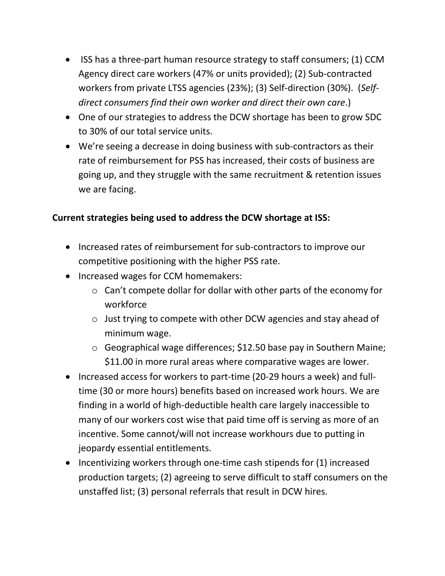- ISS has a three-part human resource strategy to staff consumers; (1) CCM Agency direct care workers (47% or units provided); (2) Sub-contracted workers from private LTSS agencies (23%); (3) Self-direction (30%). (*Selfdirect consumers find their own worker and direct their own care*.)
- One of our strategies to address the DCW shortage has been to grow SDC to 30% of our total service units.
- We're seeing a decrease in doing business with sub-contractors as their rate of reimbursement for PSS has increased, their costs of business are going up, and they struggle with the same recruitment & retention issues we are facing.

#### **Current strategies being used to address the DCW shortage at ISS:**

- Increased rates of reimbursement for sub-contractors to improve our competitive positioning with the higher PSS rate.
- Increased wages for CCM homemakers:
	- o Can't compete dollar for dollar with other parts of the economy for workforce
	- o Just trying to compete with other DCW agencies and stay ahead of minimum wage.
	- o Geographical wage differences; \$12.50 base pay in Southern Maine; \$11.00 in more rural areas where comparative wages are lower.
- Increased access for workers to part-time (20-29 hours a week) and fulltime (30 or more hours) benefits based on increased work hours. We are finding in a world of high-deductible health care largely inaccessible to many of our workers cost wise that paid time off is serving as more of an incentive. Some cannot/will not increase workhours due to putting in jeopardy essential entitlements.
- Incentivizing workers through one-time cash stipends for (1) increased production targets; (2) agreeing to serve difficult to staff consumers on the unstaffed list; (3) personal referrals that result in DCW hires.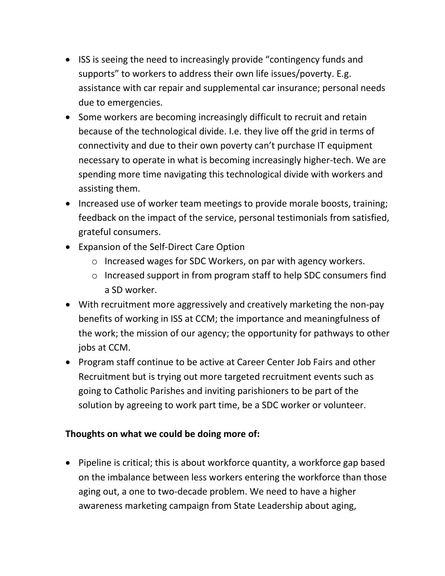- ISS is seeing the need to increasingly provide "contingency funds and supports" to workers to address their own life issues/poverty. E.g. assistance with car repair and supplemental car insurance; personal needs due to emergencies.
- Some workers are becoming increasingly difficult to recruit and retain because of the technological divide. I.e. they live off the grid in terms of connectivity and due to their own poverty can't purchase IT equipment necessary to operate in what is becoming increasingly higher-tech. We are spending more time navigating this technological divide with workers and assisting them.
- Increased use of worker team meetings to provide morale boosts, training; feedback on the impact of the service, personal testimonials from satisfied, grateful consumers.
- Expansion of the Self-Direct Care Option
	- o Increased wages for SDC Workers, on par with agency workers.
	- o Increased support in from program staff to help SDC consumers find a SD worker.
- With recruitment more aggressively and creatively marketing the non-pay benefits of working in ISS at CCM; the importance and meaningfulness of the work; the mission of our agency; the opportunity for pathways to other jobs at CCM.
- Program staff continue to be active at Career Center Job Fairs and other Recruitment but is trying out more targeted recruitment events such as going to Catholic Parishes and inviting parishioners to be part of the solution by agreeing to work part time, be a SDC worker or volunteer.

#### **Thoughts on what we could be doing more of:**

• Pipeline is critical; this is about workforce quantity, a workforce gap based on the imbalance between less workers entering the workforce than those aging out, a one to two-decade problem. We need to have a higher awareness marketing campaign from State Leadership about aging,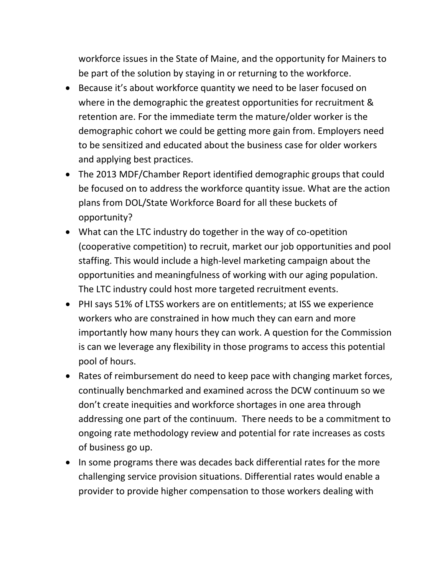workforce issues in the State of Maine, and the opportunity for Mainers to be part of the solution by staying in or returning to the workforce.

- Because it's about workforce quantity we need to be laser focused on where in the demographic the greatest opportunities for recruitment & retention are. For the immediate term the mature/older worker is the demographic cohort we could be getting more gain from. Employers need to be sensitized and educated about the business case for older workers and applying best practices.
- The 2013 MDF/Chamber Report identified demographic groups that could be focused on to address the workforce quantity issue. What are the action plans from DOL/State Workforce Board for all these buckets of opportunity?
- What can the LTC industry do together in the way of co-opetition (cooperative competition) to recruit, market our job opportunities and pool staffing. This would include a high-level marketing campaign about the opportunities and meaningfulness of working with our aging population. The LTC industry could host more targeted recruitment events.
- PHI says 51% of LTSS workers are on entitlements; at ISS we experience workers who are constrained in how much they can earn and more importantly how many hours they can work. A question for the Commission is can we leverage any flexibility in those programs to access this potential pool of hours.
- Rates of reimbursement do need to keep pace with changing market forces, continually benchmarked and examined across the DCW continuum so we don't create inequities and workforce shortages in one area through addressing one part of the continuum. There needs to be a commitment to ongoing rate methodology review and potential for rate increases as costs of business go up.
- In some programs there was decades back differential rates for the more challenging service provision situations. Differential rates would enable a provider to provide higher compensation to those workers dealing with